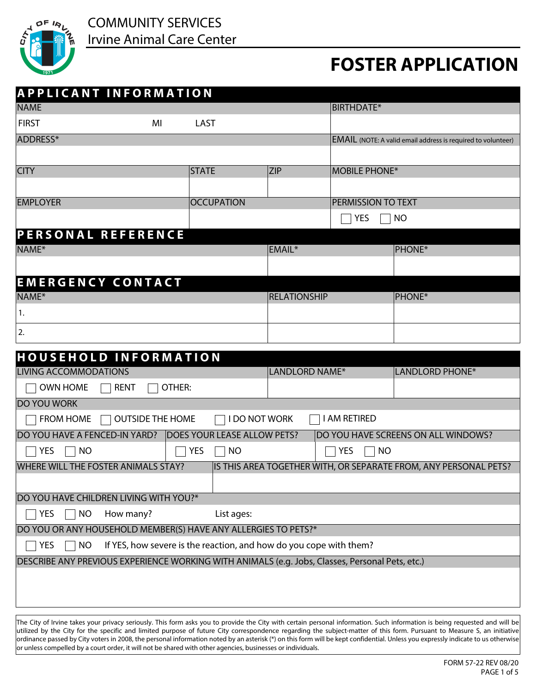

## **FOSTER APPLICATION**

| <b>APPLICANT INFORMATION</b>                                                                                                                                    |             |              |                          |                                                                |                      |                                                                                                                                                                            |  |
|-----------------------------------------------------------------------------------------------------------------------------------------------------------------|-------------|--------------|--------------------------|----------------------------------------------------------------|----------------------|----------------------------------------------------------------------------------------------------------------------------------------------------------------------------|--|
| <b>NAME</b>                                                                                                                                                     |             |              |                          |                                                                | <b>BIRTHDATE*</b>    |                                                                                                                                                                            |  |
| <b>FIRST</b>                                                                                                                                                    | MI          | <b>LAST</b>  |                          |                                                                |                      |                                                                                                                                                                            |  |
| ADDRESS*                                                                                                                                                        |             |              |                          |                                                                |                      | <b>EMAIL</b> (NOTE: A valid email address is required to volunteer)                                                                                                        |  |
|                                                                                                                                                                 |             |              |                          |                                                                |                      |                                                                                                                                                                            |  |
| <b>CITY</b>                                                                                                                                                     |             | <b>STATE</b> |                          | <b>ZIP</b>                                                     | <b>MOBILE PHONE*</b> |                                                                                                                                                                            |  |
|                                                                                                                                                                 |             |              | $\vert \textbf{v} \vert$ |                                                                |                      |                                                                                                                                                                            |  |
| <b>EMPLOYER</b><br><b>OCCUPATION</b>                                                                                                                            |             |              |                          | <b>PERMISSION TO TEXT</b>                                      |                      |                                                                                                                                                                            |  |
|                                                                                                                                                                 |             |              |                          |                                                                | <b>YES</b>           | <b>NO</b>                                                                                                                                                                  |  |
| <b>PERSONAL REFERENCE</b>                                                                                                                                       |             |              |                          |                                                                |                      |                                                                                                                                                                            |  |
| NAME*                                                                                                                                                           |             |              |                          | EMAIL*                                                         |                      | <b>PHONE*</b>                                                                                                                                                              |  |
|                                                                                                                                                                 |             |              |                          |                                                                |                      |                                                                                                                                                                            |  |
| <b>EMERGENCY CONTACT</b>                                                                                                                                        |             |              |                          |                                                                |                      |                                                                                                                                                                            |  |
| NAME*                                                                                                                                                           |             |              |                          | <b>RELATIONSHIP</b>                                            |                      | <b>PHONE*</b>                                                                                                                                                              |  |
| 1.                                                                                                                                                              |             |              |                          |                                                                |                      |                                                                                                                                                                            |  |
| 2.                                                                                                                                                              |             |              |                          |                                                                |                      |                                                                                                                                                                            |  |
|                                                                                                                                                                 |             |              |                          |                                                                |                      |                                                                                                                                                                            |  |
| <b>HOUSEHOLD INFORMATION</b><br><b>LIVING ACCOMMODATIONS</b>                                                                                                    |             |              |                          | LANDLORD NAME*                                                 |                      | LANDLORD PHONE*                                                                                                                                                            |  |
| <b>OWN HOME</b>                                                                                                                                                 | <b>RENT</b> | OTHER:       |                          |                                                                |                      |                                                                                                                                                                            |  |
| <b>DO YOU WORK</b>                                                                                                                                              |             |              |                          |                                                                |                      |                                                                                                                                                                            |  |
|                                                                                                                                                                 |             |              |                          |                                                                | I AM RETIRED         |                                                                                                                                                                            |  |
| <b>FROM HOME</b><br><b>OUTSIDE THE HOME</b><br><b>I DO NOT WORK</b><br><b>DOES YOUR LEASE ALLOW PETS?</b><br>DO YOU HAVE A FENCED-IN YARD?                      |             |              |                          |                                                                |                      |                                                                                                                                                                            |  |
| <b>YES</b><br><b>NO</b>                                                                                                                                         |             | <b>YES</b>   | <b>NO</b>                | DO YOU HAVE SCREENS ON ALL WINDOWS?<br><b>YES</b><br><b>NO</b> |                      |                                                                                                                                                                            |  |
| <b>WHERE WILL THE FOSTER ANIMALS STAY?</b>                                                                                                                      |             |              |                          |                                                                |                      | IS THIS AREA TOGETHER WITH, OR SEPARATE FROM, ANY PERSONAL PETS?                                                                                                           |  |
|                                                                                                                                                                 |             |              |                          |                                                                |                      |                                                                                                                                                                            |  |
| DO YOU HAVE CHILDREN LIVING WITH YOU?*                                                                                                                          |             |              |                          |                                                                |                      |                                                                                                                                                                            |  |
| <b>YES</b><br><b>NO</b>                                                                                                                                         | How many?   |              | List ages:               |                                                                |                      |                                                                                                                                                                            |  |
|                                                                                                                                                                 |             |              |                          |                                                                |                      |                                                                                                                                                                            |  |
| DO YOU OR ANY HOUSEHOLD MEMBER(S) HAVE ANY ALLERGIES TO PETS?*<br>If YES, how severe is the reaction, and how do you cope with them?<br><b>YES</b><br><b>NO</b> |             |              |                          |                                                                |                      |                                                                                                                                                                            |  |
| DESCRIBE ANY PREVIOUS EXPERIENCE WORKING WITH ANIMALS (e.g. Jobs, Classes, Personal Pets, etc.)                                                                 |             |              |                          |                                                                |                      |                                                                                                                                                                            |  |
|                                                                                                                                                                 |             |              |                          |                                                                |                      |                                                                                                                                                                            |  |
|                                                                                                                                                                 |             |              |                          |                                                                |                      |                                                                                                                                                                            |  |
|                                                                                                                                                                 |             |              |                          |                                                                |                      |                                                                                                                                                                            |  |
|                                                                                                                                                                 |             |              |                          |                                                                |                      | The City of Irvine takes your privacy seriously. This form asks you to provide the City with certain personal information. Such information is being requested and will be |  |

utilized by the City for the specific and limited purpose of future City correspondence regarding the subject-matter of this form. Pursuant to Measure S, an initiative ordinance passed by City voters in 2008, the personal information noted by an asterisk (\*) on this form will be kept confidential. Unless you expressly indicate to us otherwise or unless compelled by a court order, it will not be shared with other agencies, businesses or individuals.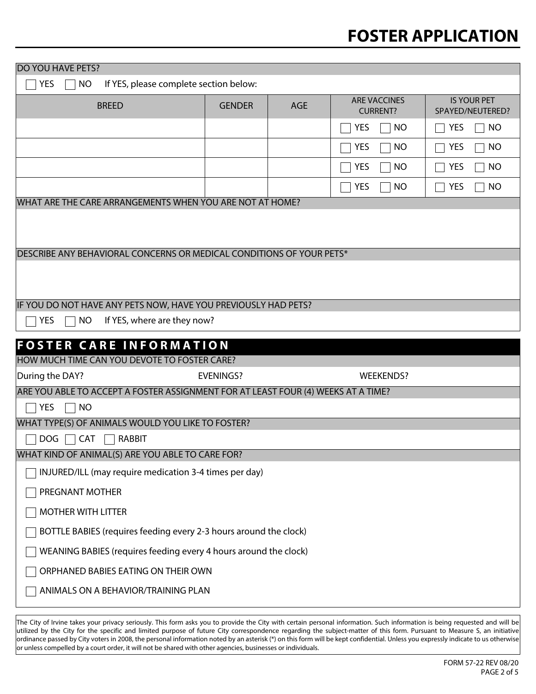## **FOSTER APPLICATION**

| <b>DO YOU HAVE PETS?</b>                                                          |                  |            |                                        |                                        |  |  |  |  |
|-----------------------------------------------------------------------------------|------------------|------------|----------------------------------------|----------------------------------------|--|--|--|--|
| <b>YES</b><br><b>NO</b><br>If YES, please complete section below:                 |                  |            |                                        |                                        |  |  |  |  |
| <b>BREED</b>                                                                      | <b>GENDER</b>    | <b>AGE</b> | <b>ARE VACCINES</b><br><b>CURRENT?</b> | <b>IS YOUR PET</b><br>SPAYED/NEUTERED? |  |  |  |  |
|                                                                                   |                  |            | <b>YES</b><br><b>NO</b>                | <b>YES</b><br><b>NO</b>                |  |  |  |  |
|                                                                                   |                  |            | <b>YES</b><br><b>NO</b>                | <b>YES</b><br><b>NO</b>                |  |  |  |  |
|                                                                                   |                  |            | <b>YES</b><br><b>NO</b>                | <b>YES</b><br><b>NO</b>                |  |  |  |  |
|                                                                                   |                  |            | <b>YES</b><br><b>NO</b>                | <b>YES</b><br><b>NO</b>                |  |  |  |  |
| WHAT ARE THE CARE ARRANGEMENTS WHEN YOU ARE NOT AT HOME?                          |                  |            |                                        |                                        |  |  |  |  |
|                                                                                   |                  |            |                                        |                                        |  |  |  |  |
|                                                                                   |                  |            |                                        |                                        |  |  |  |  |
| DESCRIBE ANY BEHAVIORAL CONCERNS OR MEDICAL CONDITIONS OF YOUR PETS*              |                  |            |                                        |                                        |  |  |  |  |
|                                                                                   |                  |            |                                        |                                        |  |  |  |  |
|                                                                                   |                  |            |                                        |                                        |  |  |  |  |
| IF YOU DO NOT HAVE ANY PETS NOW, HAVE YOU PREVIOUSLY HAD PETS?                    |                  |            |                                        |                                        |  |  |  |  |
| <b>YES</b><br>If YES, where are they now?<br><b>NO</b>                            |                  |            |                                        |                                        |  |  |  |  |
| <b>FOSTER CARE INFORMATION</b>                                                    |                  |            |                                        |                                        |  |  |  |  |
| HOW MUCH TIME CAN YOU DEVOTE TO FOSTER CARE?                                      |                  |            |                                        |                                        |  |  |  |  |
| During the DAY?                                                                   | <b>EVENINGS?</b> |            | <b>WEEKENDS?</b>                       |                                        |  |  |  |  |
| ARE YOU ABLE TO ACCEPT A FOSTER ASSIGNMENT FOR AT LEAST FOUR (4) WEEKS AT A TIME? |                  |            |                                        |                                        |  |  |  |  |
| <b>YES</b><br><b>NO</b>                                                           |                  |            |                                        |                                        |  |  |  |  |
| WHAT TYPE(S) OF ANIMALS WOULD YOU LIKE TO FOSTER?                                 |                  |            |                                        |                                        |  |  |  |  |
| <b>DOG</b><br><b>CAT</b><br><b>RABBIT</b>                                         |                  |            |                                        |                                        |  |  |  |  |
| WHAT KIND OF ANIMAL(S) ARE YOU ABLE TO CARE FOR?                                  |                  |            |                                        |                                        |  |  |  |  |
| INJURED/ILL (may require medication 3-4 times per day)                            |                  |            |                                        |                                        |  |  |  |  |
| PREGNANT MOTHER                                                                   |                  |            |                                        |                                        |  |  |  |  |
| <b>MOTHER WITH LITTER</b>                                                         |                  |            |                                        |                                        |  |  |  |  |
| BOTTLE BABIES (requires feeding every 2-3 hours around the clock)                 |                  |            |                                        |                                        |  |  |  |  |
| WEANING BABIES (requires feeding every 4 hours around the clock)                  |                  |            |                                        |                                        |  |  |  |  |
| ORPHANED BABIES EATING ON THEIR OWN                                               |                  |            |                                        |                                        |  |  |  |  |
| ANIMALS ON A BEHAVIOR/TRAINING PLAN                                               |                  |            |                                        |                                        |  |  |  |  |
|                                                                                   |                  |            |                                        |                                        |  |  |  |  |

The City of Irvine takes your privacy seriously. This form asks you to provide the City with certain personal information. Such information is being requested and will be utilized by the City for the specific and limited purpose of future City correspondence regarding the subject-matter of this form. Pursuant to Measure S, an initiative ordinance passed by City voters in 2008, the personal information noted by an asterisk (\*) on this form will be kept confidential. Unless you expressly indicate to us otherwise or unless compelled by a court order, it will not be shared with other agencies, businesses or individuals.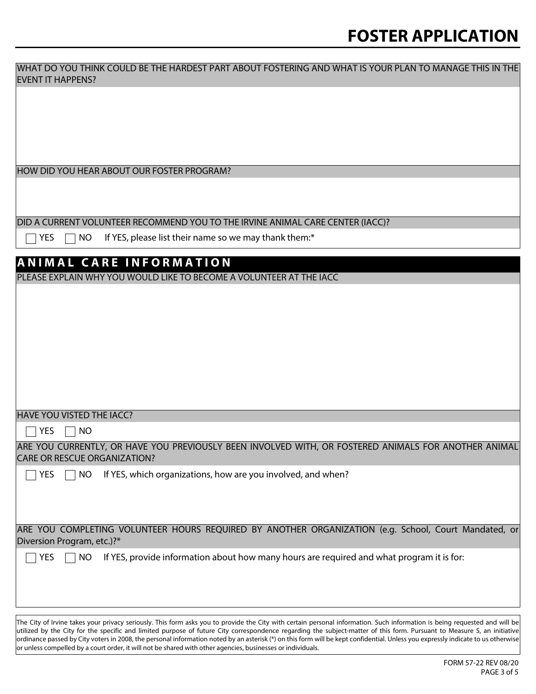## **FOSTER APPLICATION**

| WHAT DO YOU THINK COULD BE THE HARDEST PART ABOUT FOSTERING AND WHAT IS YOUR PLAN TO MANAGE THIS IN THE<br><b>EVENT IT HAPPENS?</b>                                                                                                                                                                                                                                                                                                                                        |
|----------------------------------------------------------------------------------------------------------------------------------------------------------------------------------------------------------------------------------------------------------------------------------------------------------------------------------------------------------------------------------------------------------------------------------------------------------------------------|
|                                                                                                                                                                                                                                                                                                                                                                                                                                                                            |
|                                                                                                                                                                                                                                                                                                                                                                                                                                                                            |
|                                                                                                                                                                                                                                                                                                                                                                                                                                                                            |
| HOW DID YOU HEAR ABOUT OUR FOSTER PROGRAM?                                                                                                                                                                                                                                                                                                                                                                                                                                 |
|                                                                                                                                                                                                                                                                                                                                                                                                                                                                            |
|                                                                                                                                                                                                                                                                                                                                                                                                                                                                            |
| DID A CURRENT VOLUNTEER RECOMMEND YOU TO THE IRVINE ANIMAL CARE CENTER (IACC)?                                                                                                                                                                                                                                                                                                                                                                                             |
| If YES, please list their name so we may thank them:*<br><b>YES</b><br>NO                                                                                                                                                                                                                                                                                                                                                                                                  |
| ANIMAL CARE INFORMATION                                                                                                                                                                                                                                                                                                                                                                                                                                                    |
| PLEASE EXPLAIN WHY YOU WOULD LIKE TO BECOME A VOLUNTEER AT THE IACC                                                                                                                                                                                                                                                                                                                                                                                                        |
|                                                                                                                                                                                                                                                                                                                                                                                                                                                                            |
|                                                                                                                                                                                                                                                                                                                                                                                                                                                                            |
|                                                                                                                                                                                                                                                                                                                                                                                                                                                                            |
|                                                                                                                                                                                                                                                                                                                                                                                                                                                                            |
|                                                                                                                                                                                                                                                                                                                                                                                                                                                                            |
|                                                                                                                                                                                                                                                                                                                                                                                                                                                                            |
| <b>HAVE YOU VISTED THE IACC?</b>                                                                                                                                                                                                                                                                                                                                                                                                                                           |
| <b>YES</b><br><b>NO</b>                                                                                                                                                                                                                                                                                                                                                                                                                                                    |
| ARE YOU CURRENTLY, OR HAVE YOU PREVIOUSLY BEEN INVOLVED WITH, OR FOSTERED ANIMALS FOR ANOTHER ANIMAL<br><b>CARE OR RESCUE ORGANIZATION?</b>                                                                                                                                                                                                                                                                                                                                |
| If YES, which organizations, how are you involved, and when?<br>YES<br><b>NO</b>                                                                                                                                                                                                                                                                                                                                                                                           |
|                                                                                                                                                                                                                                                                                                                                                                                                                                                                            |
|                                                                                                                                                                                                                                                                                                                                                                                                                                                                            |
| ARE YOU COMPLETING VOLUNTEER HOURS REQUIRED BY ANOTHER ORGANIZATION (e.g. School, Court Mandated, or<br>Diversion Program, etc.)?*                                                                                                                                                                                                                                                                                                                                         |
| If YES, provide information about how many hours are required and what program it is for:<br><b>YES</b><br>NO                                                                                                                                                                                                                                                                                                                                                              |
|                                                                                                                                                                                                                                                                                                                                                                                                                                                                            |
|                                                                                                                                                                                                                                                                                                                                                                                                                                                                            |
| The City of Irvine takes your privacy seriously. This form asks you to provide the City with certain personal information. Such information is being requested and will be                                                                                                                                                                                                                                                                                                 |
| utilized by the City for the specific and limited purpose of future City correspondence regarding the subject-matter of this form. Pursuant to Measure S, an initiative<br>ordinance passed by City voters in 2008, the personal information noted by an asterisk (*) on this form will be kept confidential. Unless you expressly indicate to us otherwise<br>or unless compelled by a court order, it will not be shared with other agencies, businesses or individuals. |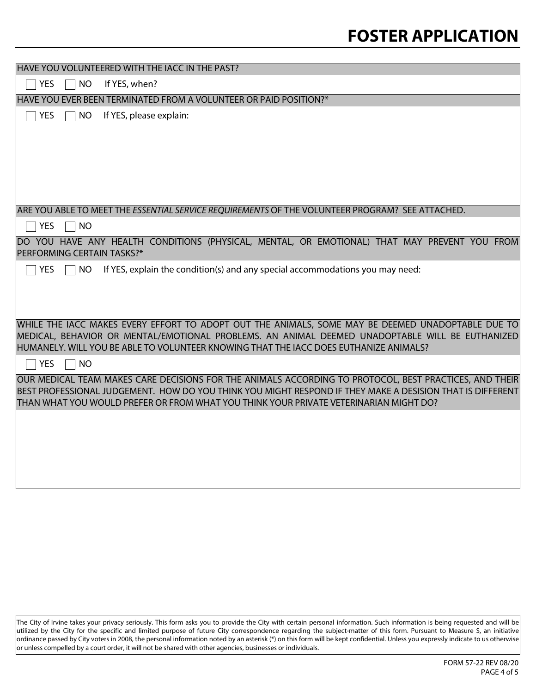| HAVE YOU VOLUNTEERED WITH THE IACC IN THE PAST?                                                                                                                                                                                                                                                              |
|--------------------------------------------------------------------------------------------------------------------------------------------------------------------------------------------------------------------------------------------------------------------------------------------------------------|
| If YES, when?<br><b>YES</b><br><b>NO</b>                                                                                                                                                                                                                                                                     |
| HAVE YOU EVER BEEN TERMINATED FROM A VOLUNTEER OR PAID POSITION?*                                                                                                                                                                                                                                            |
| <b>YES</b><br>If YES, please explain:<br><b>NO</b>                                                                                                                                                                                                                                                           |
| ARE YOU ABLE TO MEET THE ESSENTIAL SERVICE REQUIREMENTS OF THE VOLUNTEER PROGRAM? SEE ATTACHED.                                                                                                                                                                                                              |
| <b>YES</b><br><b>NO</b>                                                                                                                                                                                                                                                                                      |
| DO YOU HAVE ANY HEALTH CONDITIONS (PHYSICAL, MENTAL, OR EMOTIONAL) THAT MAY PREVENT YOU FROM<br>PERFORMING CERTAIN TASKS?*                                                                                                                                                                                   |
| If YES, explain the condition(s) and any special accommodations you may need:<br><b>YES</b><br><b>NO</b>                                                                                                                                                                                                     |
| WHILE THE IACC MAKES EVERY EFFORT TO ADOPT OUT THE ANIMALS, SOME MAY BE DEEMED UNADOPTABLE DUE TO<br>MEDICAL, BEHAVIOR OR MENTAL/EMOTIONAL PROBLEMS. AN ANIMAL DEEMED UNADOPTABLE WILL BE EUTHANIZED<br>HUMANELY. WILL YOU BE ABLE TO VOLUNTEER KNOWING THAT THE IACC DOES EUTHANIZE ANIMALS?                |
| <b>YES</b><br><b>NO</b>                                                                                                                                                                                                                                                                                      |
| OUR MEDICAL TEAM MAKES CARE DECISIONS FOR THE ANIMALS ACCORDING TO PROTOCOL, BEST PRACTICES, AND THEIR<br>BEST PROFESSIONAL JUDGEMENT. HOW DO YOU THINK YOU MIGHT RESPOND IF THEY MAKE A DESISION THAT IS DIFFERENT<br>THAN WHAT YOU WOULD PREFER OR FROM WHAT YOU THINK YOUR PRIVATE VETERINARIAN MIGHT DO? |
|                                                                                                                                                                                                                                                                                                              |

The City of Irvine takes your privacy seriously. This form asks you to provide the City with certain personal information. Such information is being requested and will be utilized by the City for the specific and limited purpose of future City correspondence regarding the subject-matter of this form. Pursuant to Measure S, an initiative ordinance passed by City voters in 2008, the personal information noted by an asterisk (\*) on this form will be kept confidential. Unless you expressly indicate to us otherwise or unless compelled by a court order, it will not be shared with other agencies, businesses or individuals.